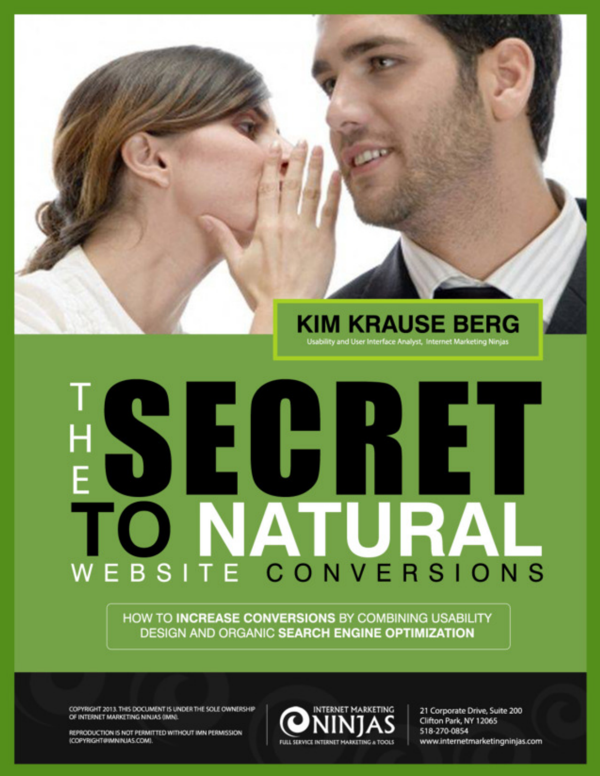### **KIM KRAUSE BERG**

#### Usability and User Interface Analyst, Internet Marketing Ninjas

# SEG KE NATURAI WEBSITE CONVERSIONS

HOW TO INCREASE CONVERSIONS BY COMBINING USABILITY **DESIGN AND ORGANIC SEARCH ENGINE OPTIMIZATION** 

COPYRIGHT 2013. THIS DOCUMENT IS UNDER THE SOLE OWNERSHIP OF INTERNET MARKETING NINJAS (IMN).



21 Corporate Drive, Suite 200 Clifton Park, NY 12065 518-270-0854 www.internetmarketingninjas.com

REPRODUCTION IS NOT PERMITTED WITHOUT IMN PERMISSION (COPYRIGHT@IMNINJAS.COM).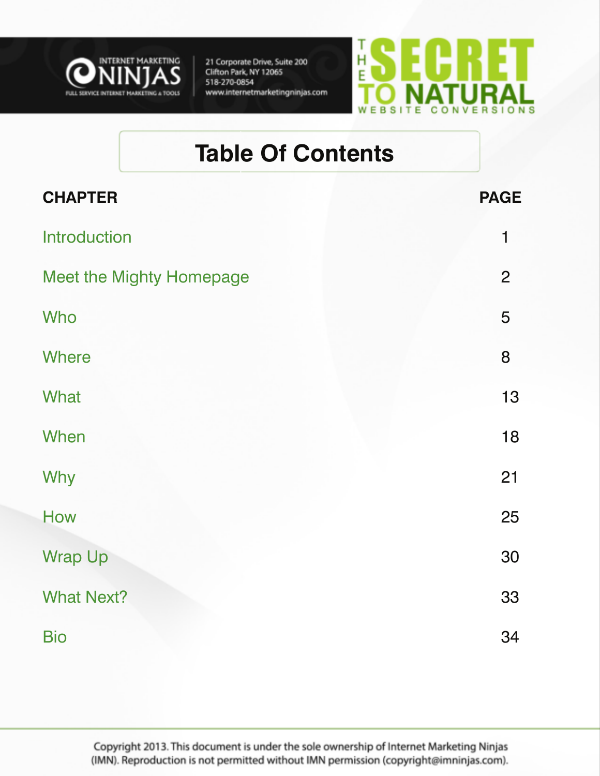



### **Table Of Contents**

| <b>CHAPTER</b>                  | <b>PAGE</b>    |
|---------------------------------|----------------|
| Introduction                    | $\mathbf{1}$   |
| <b>Meet the Mighty Homepage</b> | $\overline{2}$ |
| Who                             | 5              |
| <b>Where</b>                    | 8              |
| What                            | 13             |
| When                            | 18             |
| Why                             | 21             |
| How                             | 25             |
| <b>Wrap Up</b>                  | 30             |
| <b>What Next?</b>               | 33             |
| <b>Bio</b>                      | 34             |

Copyright 2013. This document is under the sole ownership of Internet Marketing Ninjas (IMN). Reproduction is not permitted without IMN permission (copyright@imninjas.com).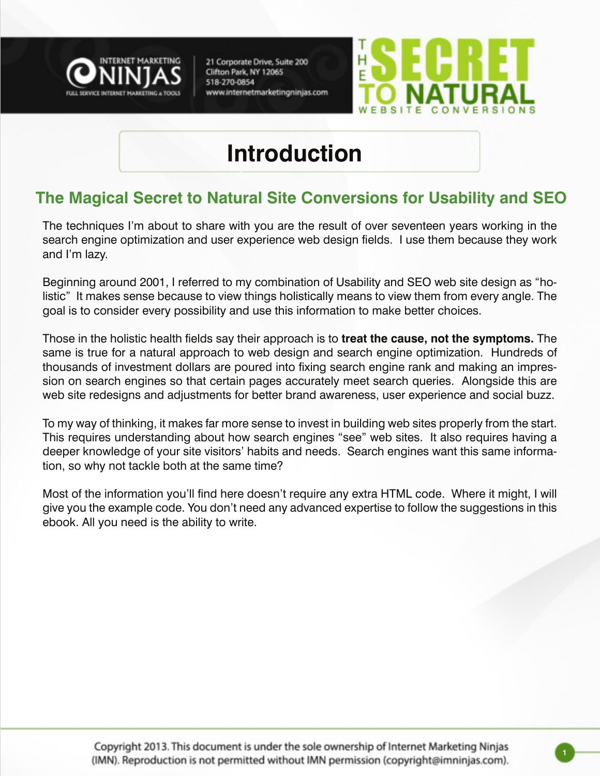



### **Introduction**

#### **The Magical Secret to Natural Site Conversions for Usability and SEO**

The techniques I'm about to share with you are the result of over seventeen years working in the search engine optimization and user experience web design fields. I use them because they work and I'm lazy.

Beginning around 2001, I referred to my combination of Usability and SEO web site design as "holistic" It makes sense because to view things holistically means to view them from every angle. The goal is to consider every possibility and use this information to make better choices.

Those in the holistic health fields say their approach is to **treat the cause, not the symptoms.** The same is true for a natural approach to web design and search engine optimization. Hundreds of thousands of investment dollars are poured into fixing search engine rank and making an impression on search engines so that certain pages accurately meet search queries. Alongside this are web site redesigns and adjustments for better brand awareness, user experience and social buzz.

To my way of thinking, it makes far more sense to invest in building web sites properly from the start. This requires understanding about how search engines "see" web sites. It also requires having a deeper knowledge of your site visitors' habits and needs. Search engines want this same information, so why not tackle both at the same time?

Most of the information you'll find here doesn't require any extra HTML code. Where it might, I will give you the example code. You don't need any advanced expertise to follow the suggestions in this ebook. All you need is the ability to write.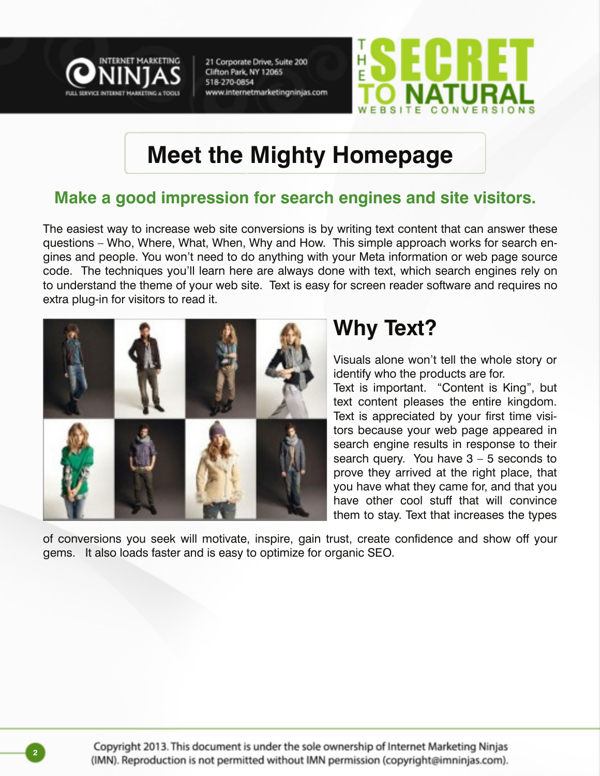



### **Meet the Mighty Homepage**

#### **Make a good impression for search engines and site visitors.**

The easiest way to increase web site conversions is by writing text content that can answer these questions – Who, Where, What, When, Why and How. This simple approach works for search engines and people. You won't need to do anything with your Meta information or web page source code. The techniques you'll learn here are always done with text, which search engines rely on to understand the theme of your web site. Text is easy for screen reader software and requires no extra plug-in for visitors to read it.



### **Why Text?**

Visuals alone won't tell the whole story or identify who the products are for.

Text is important. "Content is King", but text content pleases the entire kingdom. Text is appreciated by your first time visitors because your web page appeared in search engine results in response to their search query. You have  $3 - 5$  seconds to prove they arrived at the right place, that you have what they came for, and that you have other cool stuff that will convince them to stay. Text that increases the types

of conversions you seek will motivate, inspire, gain trust, create confidence and show off your gems. It also loads faster and is easy to optimize for organic SEO.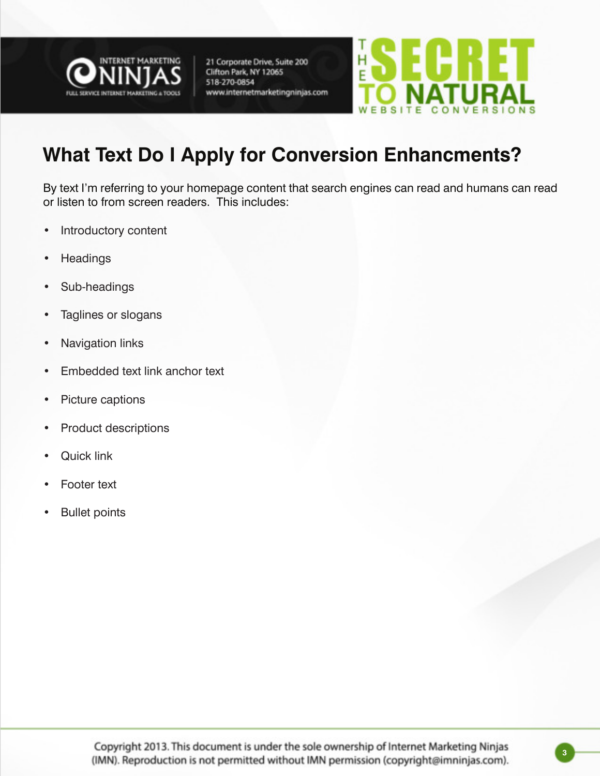



### **What Text Do I Apply for Conversion Enhancments?**

By text I'm referring to your homepage content that search engines can read and humans can read or listen to from screen readers. This includes:

- Introductory content
- • Headings
- • Sub-headings
- • Taglines or slogans
- Navigation links
- • Embedded text link anchor text
- • Picture captions
- • Product descriptions
- **Quick link**
- **Footer text**
- **Bullet points**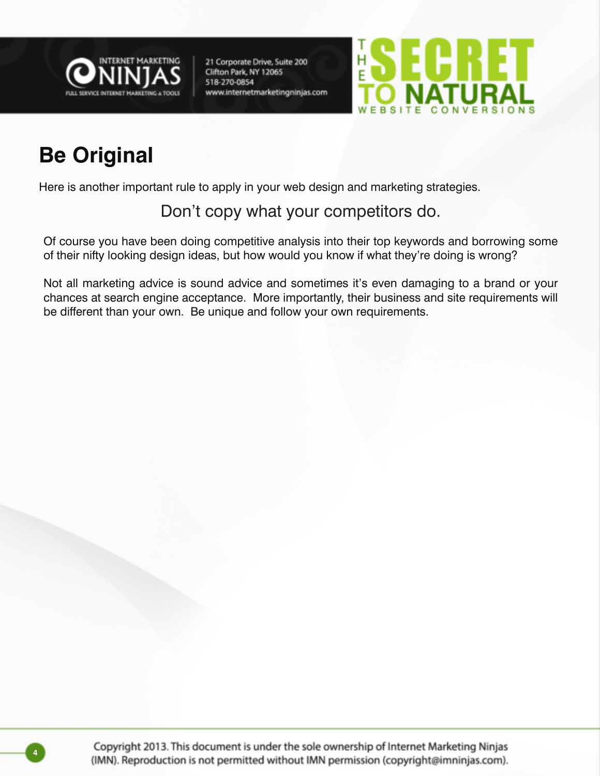



### **Be Original**

Here is another important rule to apply in your web design and marketing strategies.

Don't copy what your competitors do.

Of course you have been doing competitive analysis into their top keywords and borrowing some of their nifty looking design ideas, but how would you know if what they're doing is wrong?

Not all marketing advice is sound advice and sometimes it's even damaging to a brand or your chances at search engine acceptance. More importantly, their business and site requirements will be different than your own. Be unique and follow your own requirements.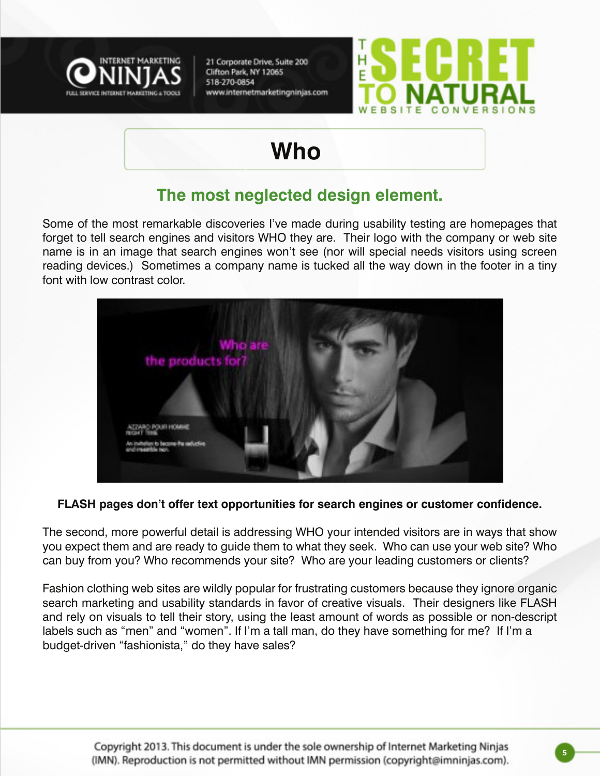



### **Who**

#### **The most neglected design element.**

Some of the most remarkable discoveries I've made during usability testing are homepages that forget to tell search engines and visitors WHO they are. Their logo with the company or web site name is in an image that search engines won't see (nor will special needs visitors using screen reading devices.) Sometimes a company name is tucked all the way down in the footer in a tiny font with low contrast color.



**FLASH pages don't offer text opportunities for search engines or customer confidence.**

The second, more powerful detail is addressing WHO your intended visitors are in ways that show you expect them and are ready to guide them to what they seek. Who can use your web site? Who can buy from you? Who recommends your site? Who are your leading customers or clients?

Fashion clothing web sites are wildly popular for frustrating customers because they ignore organic search marketing and usability standards in favor of creative visuals. Their designers like FLASH and rely on visuals to tell their story, using the least amount of words as possible or non-descript labels such as "men" and "women". If I'm a tall man, do they have something for me? If I'm a budget-driven "fashionista," do they have sales?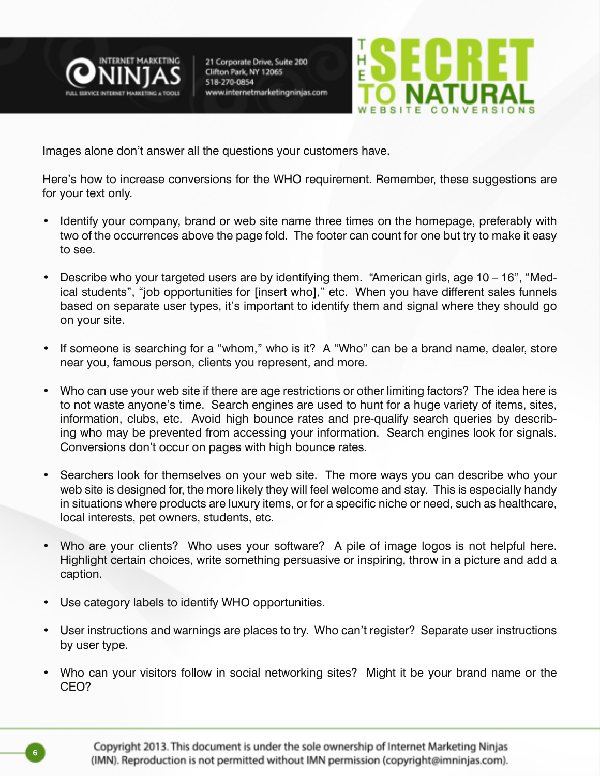



Images alone don't answer all the questions your customers have.

Here's how to increase conversions for the WHO requirement. Remember, these suggestions are for your text only.

- Identify your company, brand or web site name three times on the homepage, preferably with two of the occurrences above the page fold. The footer can count for one but try to make it easy to see.
- Describe who your targeted users are by identifying them. "American girls, age  $10 16$ ", "Medical students", "job opportunities for [insert who]," etc. When you have different sales funnels based on separate user types, it's important to identify them and signal where they should go on your site.
- If someone is searching for a "whom," who is it? A "Who" can be a brand name, dealer, store near you, famous person, clients you represent, and more.
- • Who can use your web site if there are age restrictions or other limiting factors? The idea here is to not waste anyone's time. Search engines are used to hunt for a huge variety of items, sites, information, clubs, etc. Avoid high bounce rates and pre-qualify search queries by describing who may be prevented from accessing your information. Search engines look for signals. Conversions don't occur on pages with high bounce rates.
- Searchers look for themselves on your web site. The more ways you can describe who your web site is designed for, the more likely they will feel welcome and stay. This is especially handy in situations where products are luxury items, or for a specific niche or need, such as healthcare, local interests, pet owners, students, etc.
- Who are your clients? Who uses your software? A pile of image logos is not helpful here. Highlight certain choices, write something persuasive or inspiring, throw in a picture and add a caption.
- Use category labels to identify WHO opportunities.
- User instructions and warnings are places to try. Who can't register? Separate user instructions by user type.
- Who can your visitors follow in social networking sites? Might it be your brand name or the CEO?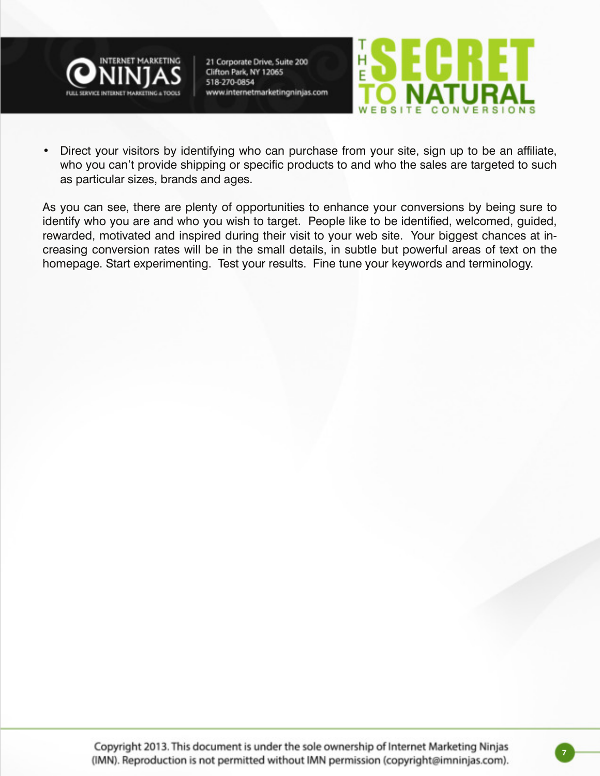



• Direct your visitors by identifying who can purchase from your site, sign up to be an affiliate, who you can't provide shipping or specific products to and who the sales are targeted to such as particular sizes, brands and ages.

As you can see, there are plenty of opportunities to enhance your conversions by being sure to identify who you are and who you wish to target. People like to be identified, welcomed, guided, rewarded, motivated and inspired during their visit to your web site. Your biggest chances at increasing conversion rates will be in the small details, in subtle but powerful areas of text on the homepage. Start experimenting. Test your results. Fine tune your keywords and terminology.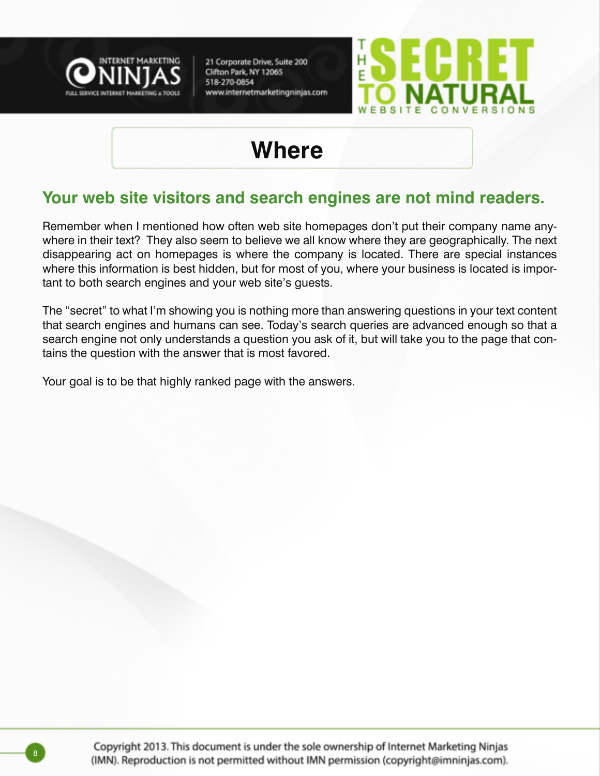



### **Where**

#### **Your web site visitors and search engines are not mind readers.**

Remember when I mentioned how often web site homepages don't put their company name anywhere in their text? They also seem to believe we all know where they are geographically. The next disappearing act on homepages is where the company is located. There are special instances where this information is best hidden, but for most of you, where your business is located is important to both search engines and your web site's guests.

The "secret" to what I'm showing you is nothing more than answering questions in your text content that search engines and humans can see. Today's search queries are advanced enough so that a search engine not only understands a question you ask of it, but will take you to the page that contains the question with the answer that is most favored.

Your goal is to be that highly ranked page with the answers.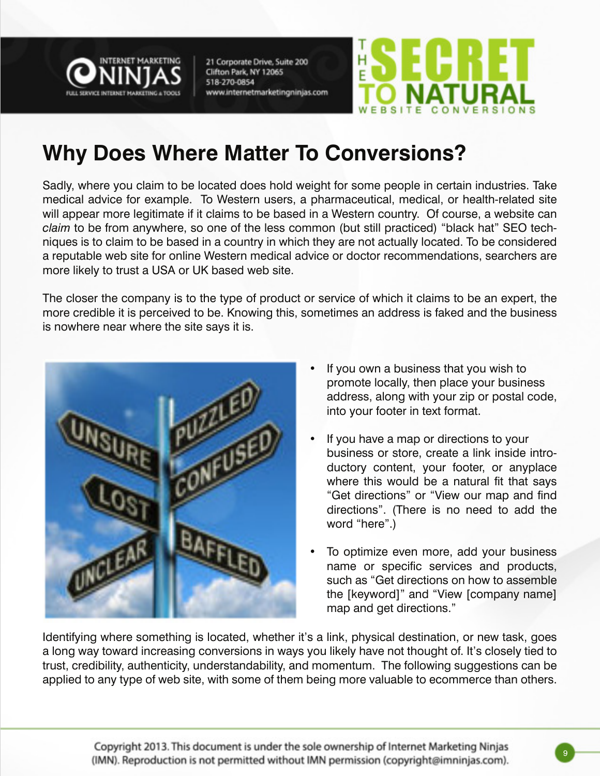



### **Why Does Where Matter To Conversions?**

Sadly, where you claim to be located does hold weight for some people in certain industries. Take medical advice for example. To Western users, a pharmaceutical, medical, or health-related site will appear more legitimate if it claims to be based in a Western country. Of course, a website can *claim* to be from anywhere, so one of the less common (but still practiced) "black hat" SEO techniques is to claim to be based in a country in which they are not actually located. To be considered a reputable web site for online Western medical advice or doctor recommendations, searchers are more likely to trust a USA or UK based web site.

The closer the company is to the type of product or service of which it claims to be an expert, the more credible it is perceived to be. Knowing this, sometimes an address is faked and the business is nowhere near where the site says it is.



- If you own a business that you wish to promote locally, then place your business address, along with your zip or postal code, into your footer in text format.
- If you have a map or directions to your business or store, create a link inside introductory content, your footer, or anyplace where this would be a natural fit that says "Get directions" or "View our map and find directions". (There is no need to add the word "here".)
- To optimize even more, add your business name or specific services and products, such as "Get directions on how to assemble the [keyword]" and "View [company name] map and get directions."

Identifying where something is located, whether it's a link, physical destination, or new task, goes a long way toward increasing conversions in ways you likely have not thought of. It's closely tied to trust, credibility, authenticity, understandability, and momentum. The following suggestions can be applied to any type of web site, with some of them being more valuable to ecommerce than others.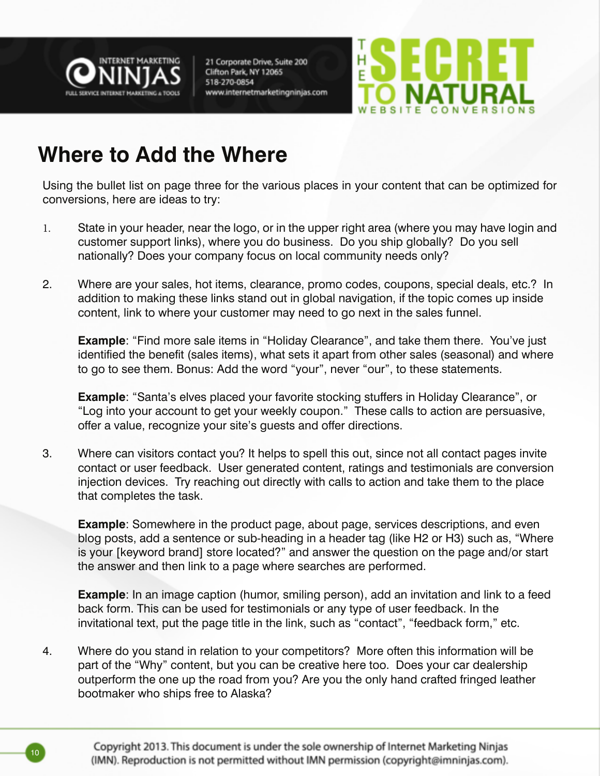



### **Where to Add the Where**

Using the bullet list on page three for the various places in your content that can be optimized for conversions, here are ideas to try:

- 1. State in your header, near the logo, or in the upper right area (where you may have login and customer support links), where you do business. Do you ship globally? Do you sell nationally? Does your company focus on local community needs only?
- 2. Where are your sales, hot items, clearance, promo codes, coupons, special deals, etc.? In addition to making these links stand out in global navigation, if the topic comes up inside content, link to where your customer may need to go next in the sales funnel.

**Example**: "Find more sale items in "Holiday Clearance", and take them there. You've just identified the benefit (sales items), what sets it apart from other sales (seasonal) and where to go to see them. Bonus: Add the word "your", never "our", to these statements.

**Example**: "Santa's elves placed your favorite stocking stuffers in Holiday Clearance", or "Log into your account to get your weekly coupon." These calls to action are persuasive, offer a value, recognize your site's guests and offer directions.

3. Where can visitors contact you? It helps to spell this out, since not all contact pages invite contact or user feedback. User generated content, ratings and testimonials are conversion injection devices. Try reaching out directly with calls to action and take them to the place that completes the task.

**Example**: Somewhere in the product page, about page, services descriptions, and even blog posts, add a sentence or sub-heading in a header tag (like H2 or H3) such as, "Where is your [keyword brand] store located?" and answer the question on the page and/or start the answer and then link to a page where searches are performed.

**Example**: In an image caption (humor, smiling person), add an invitation and link to a feed back form. This can be used for testimonials or any type of user feedback. In the invitational text, put the page title in the link, such as "contact", "feedback form," etc.

4. Where do you stand in relation to your competitors? More often this information will be part of the "Why" content, but you can be creative here too. Does your car dealership outperform the one up the road from you? Are you the only hand crafted fringed leather bootmaker who ships free to Alaska?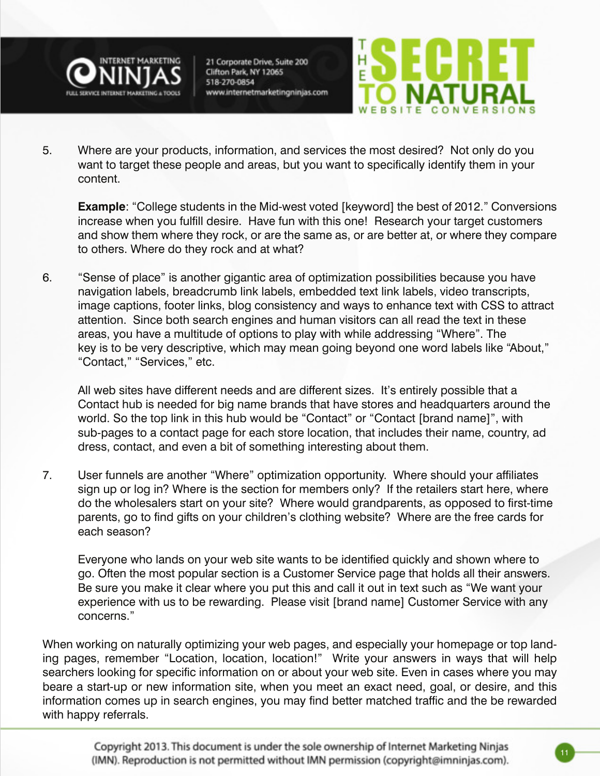



5. Where are your products, information, and services the most desired? Not only do you want to target these people and areas, but you want to specifically identify them in your content.

**Example**: "College students in the Mid-west voted [keyword] the best of 2012." Conversions increase when you fulfill desire. Have fun with this one! Research your target customers and show them where they rock, or are the same as, or are better at, or where they compare to others. Where do they rock and at what?

6. "Sense of place" is another gigantic area of optimization possibilities because you have navigation labels, breadcrumb link labels, embedded text link labels, video transcripts, image captions, footer links, blog consistency and ways to enhance text with CSS to attract attention. Since both search engines and human visitors can all read the text in these areas, you have a multitude of options to play with while addressing "Where". The key is to be very descriptive, which may mean going beyond one word labels like "About," "Contact," "Services," etc.

 All web sites have different needs and are different sizes. It's entirely possible that a Contact hub is needed for big name brands that have stores and headquarters around the world. So the top link in this hub would be "Contact" or "Contact [brand name]", with sub-pages to a contact page for each store location, that includes their name, country, ad dress, contact, and even a bit of something interesting about them.

7. User funnels are another "Where" optimization opportunity. Where should your affiliates sign up or log in? Where is the section for members only? If the retailers start here, where do the wholesalers start on your site? Where would grandparents, as opposed to first-time parents, go to find gifts on your children's clothing website? Where are the free cards for each season?

 Everyone who lands on your web site wants to be identified quickly and shown where to go. Often the most popular section is a Customer Service page that holds all their answers. Be sure you make it clear where you put this and call it out in text such as "We want your experience with us to be rewarding. Please visit [brand name] Customer Service with any concerns."

When working on naturally optimizing your web pages, and especially your homepage or top landing pages, remember "Location, location, location!" Write your answers in ways that will help searchers looking for specific information on or about your web site. Even in cases where you may beare a start-up or new information site, when you meet an exact need, goal, or desire, and this information comes up in search engines, you may find better matched traffic and the be rewarded with happy referrals.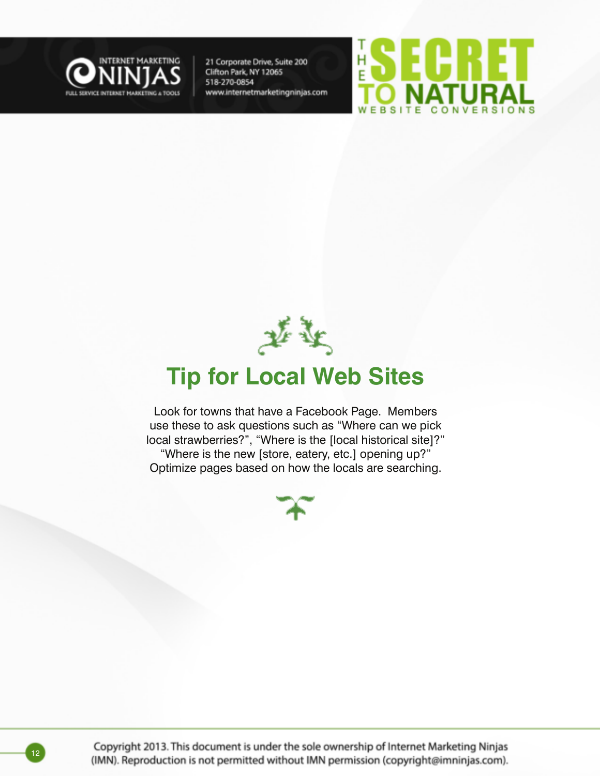





### **Tip for Local Web Sites**

Look for towns that have a Facebook Page. Members use these to ask questions such as "Where can we pick local strawberries?", "Where is the [local historical site]?" "Where is the new [store, eatery, etc.] opening up?" Optimize pages based on how the locals are searching.



Copyright 2013. This document is under the sole ownership of Internet Marketing Ninjas (IMN). Reproduction is not permitted without IMN permission (copyright@imninjas.com).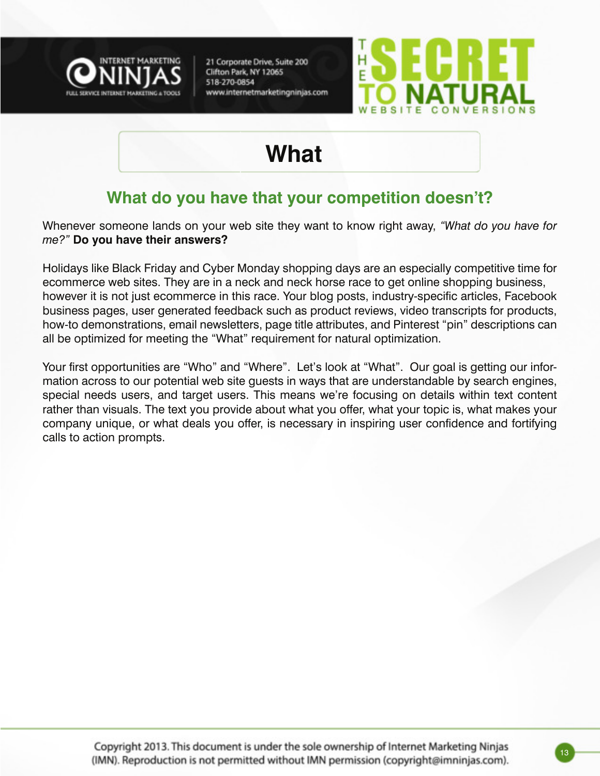



### **What**

#### **What do you have that your competition doesn't?**

Whenever someone lands on your web site they want to know right away, *"What do you have for me?"* **Do you have their answers?**

Holidays like Black Friday and Cyber Monday shopping days are an especially competitive time for ecommerce web sites. They are in a neck and neck horse race to get online shopping business, however it is not just ecommerce in this race. Your blog posts, industry-specific articles, Facebook business pages, user generated feedback such as product reviews, video transcripts for products, how-to demonstrations, email newsletters, page title attributes, and Pinterest "pin" descriptions can all be optimized for meeting the "What" requirement for natural optimization.

Your first opportunities are "Who" and "Where". Let's look at "What". Our goal is getting our information across to our potential web site guests in ways that are understandable by search engines, special needs users, and target users. This means we're focusing on details within text content rather than visuals. The text you provide about what you offer, what your topic is, what makes your company unique, or what deals you offer, is necessary in inspiring user confidence and fortifying calls to action prompts.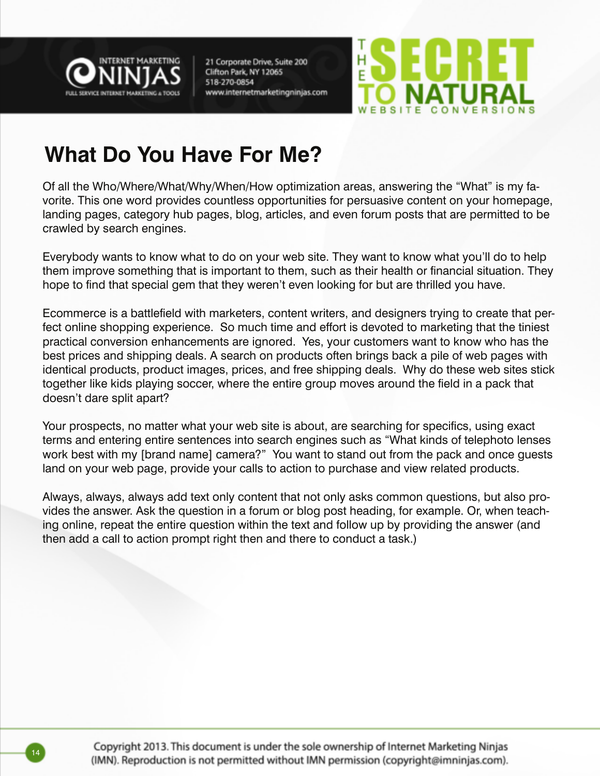



### **What Do You Have For Me?**

Of all the Who/Where/What/Why/When/How optimization areas, answering the "What" is my favorite. This one word provides countless opportunities for persuasive content on your homepage, landing pages, category hub pages, blog, articles, and even forum posts that are permitted to be crawled by search engines.

Everybody wants to know what to do on your web site. They want to know what you'll do to help them improve something that is important to them, such as their health or financial situation. They hope to find that special gem that they weren't even looking for but are thrilled you have.

Ecommerce is a battlefield with marketers, content writers, and designers trying to create that perfect online shopping experience. So much time and effort is devoted to marketing that the tiniest practical conversion enhancements are ignored. Yes, your customers want to know who has the best prices and shipping deals. A search on products often brings back a pile of web pages with identical products, product images, prices, and free shipping deals. Why do these web sites stick together like kids playing soccer, where the entire group moves around the field in a pack that doesn't dare split apart?

Your prospects, no matter what your web site is about, are searching for specifics, using exact terms and entering entire sentences into search engines such as "What kinds of telephoto lenses work best with my [brand name] camera?" You want to stand out from the pack and once guests land on your web page, provide your calls to action to purchase and view related products.

Always, always, always add text only content that not only asks common questions, but also provides the answer. Ask the question in a forum or blog post heading, for example. Or, when teaching online, repeat the entire question within the text and follow up by providing the answer (and then add a call to action prompt right then and there to conduct a task.)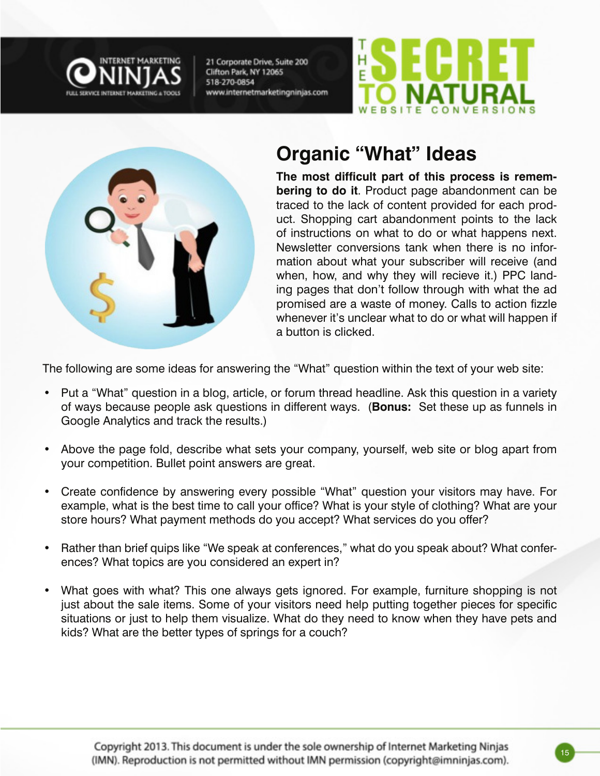





#### **Organic "What" Ideas**

**The most difficult part of this process is remembering to do it**. Product page abandonment can be traced to the lack of content provided for each product. Shopping cart abandonment points to the lack of instructions on what to do or what happens next. Newsletter conversions tank when there is no information about what your subscriber will receive (and when, how, and why they will recieve it.) PPC landing pages that don't follow through with what the ad promised are a waste of money. Calls to action fizzle whenever it's unclear what to do or what will happen if a button is clicked.

The following are some ideas for answering the "What" question within the text of your web site:

- Put a "What" question in a blog, article, or forum thread headline. Ask this question in a variety of ways because people ask questions in different ways. (**Bonus:** Set these up as funnels in Google Analytics and track the results.)
- Above the page fold, describe what sets your company, yourself, web site or blog apart from your competition. Bullet point answers are great.
- Create confidence by answering every possible "What" question your visitors may have. For example, what is the best time to call your office? What is your style of clothing? What are your store hours? What payment methods do you accept? What services do you offer?
- Rather than brief quips like "We speak at conferences," what do you speak about? What conferences? What topics are you considered an expert in?
- What goes with what? This one always gets ignored. For example, furniture shopping is not just about the sale items. Some of your visitors need help putting together pieces for specific situations or just to help them visualize. What do they need to know when they have pets and kids? What are the better types of springs for a couch?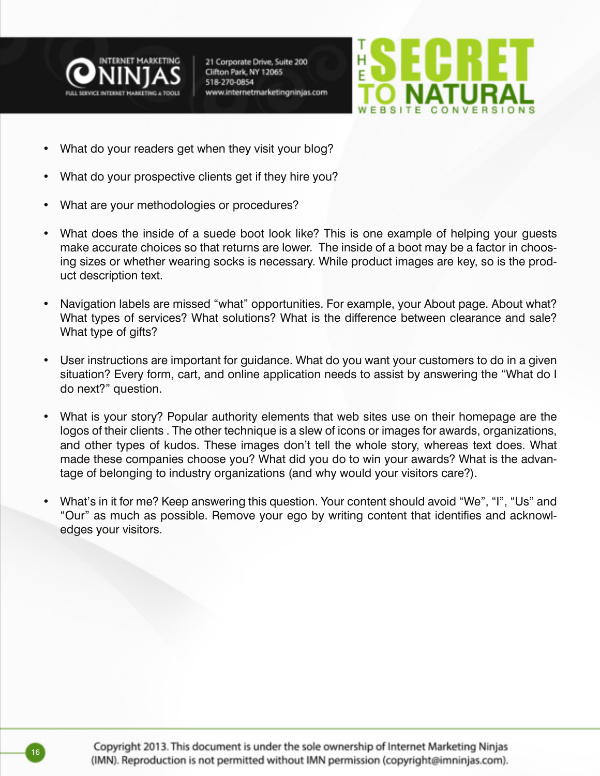



- What do your readers get when they visit your blog?
- What do your prospective clients get if they hire you?
- What are your methodologies or procedures?
- What does the inside of a suede boot look like? This is one example of helping your guests make accurate choices so that returns are lower. The inside of a boot may be a factor in choosing sizes or whether wearing socks is necessary. While product images are key, so is the product description text.
- Navigation labels are missed "what" opportunities. For example, your About page. About what? What types of services? What solutions? What is the difference between clearance and sale? What type of gifts?
- User instructions are important for guidance. What do you want your customers to do in a given situation? Every form, cart, and online application needs to assist by answering the "What do I do next?" question.
- What is your story? Popular authority elements that web sites use on their homepage are the logos of their clients . The other technique is a slew of icons or images for awards, organizations, and other types of kudos. These images don't tell the whole story, whereas text does. What made these companies choose you? What did you do to win your awards? What is the advantage of belonging to industry organizations (and why would your visitors care?).
- What's in it for me? Keep answering this question. Your content should avoid "We", "I", "Us" and "Our" as much as possible. Remove your ego by writing content that identifies and acknowledges your visitors.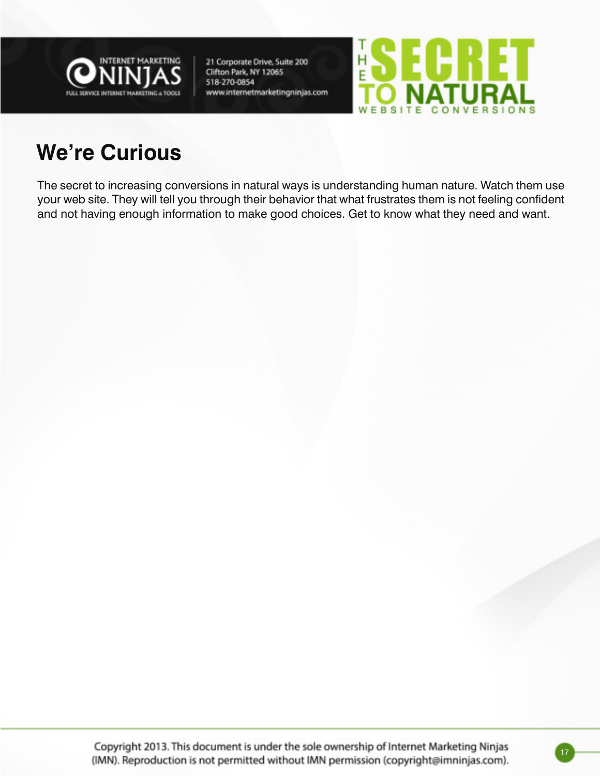



### **We're Curious**

The secret to increasing conversions in natural ways is understanding human nature. Watch them use your web site. They will tell you through their behavior that what frustrates them is not feeling confident and not having enough information to make good choices. Get to know what they need and want.

Copyright 2013. This document is under the sole ownership of Internet Marketing Ninjas (IMN). Reproduction is not permitted without IMN permission (copyright@imninjas.com).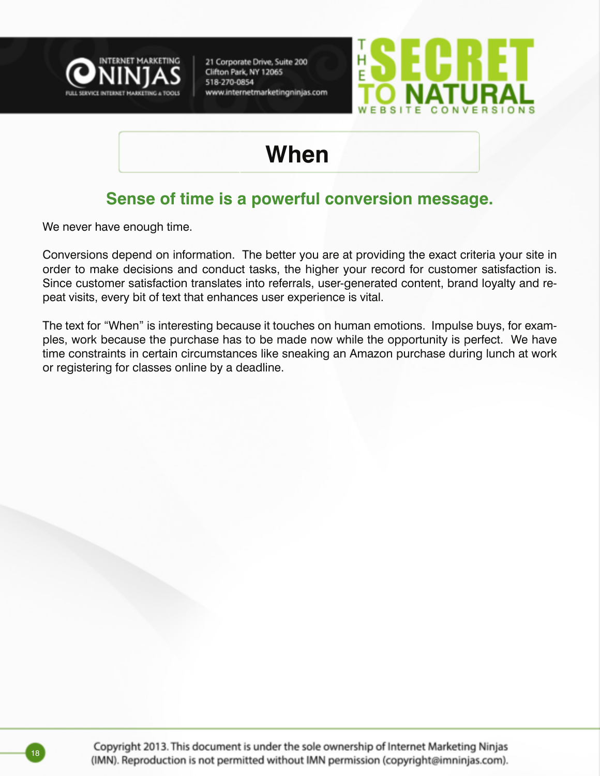



### **When**

#### **Sense of time is a powerful conversion message.**

We never have enough time.

Conversions depend on information. The better you are at providing the exact criteria your site in order to make decisions and conduct tasks, the higher your record for customer satisfaction is. Since customer satisfaction translates into referrals, user-generated content, brand loyalty and repeat visits, every bit of text that enhances user experience is vital.

The text for "When" is interesting because it touches on human emotions. Impulse buys, for examples, work because the purchase has to be made now while the opportunity is perfect. We have time constraints in certain circumstances like sneaking an Amazon purchase during lunch at work or registering for classes online by a deadline.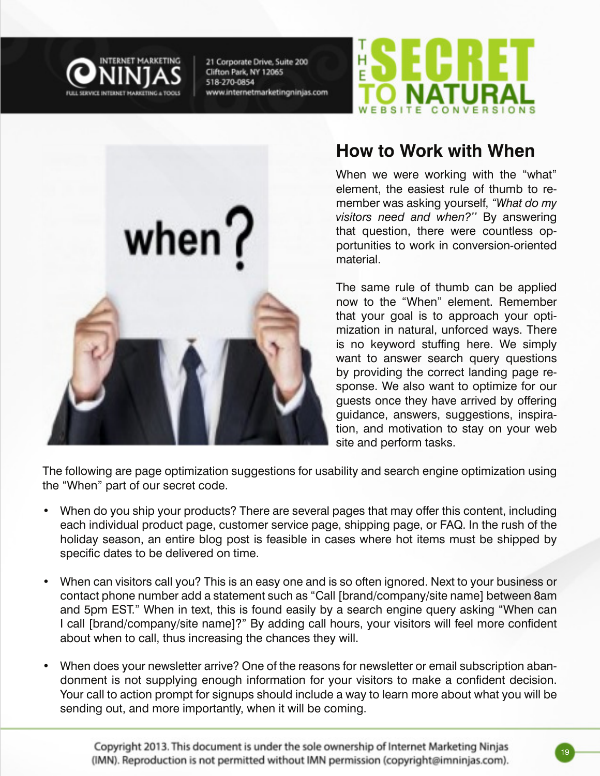

when $?$ 

21 Corporate Drive, Suite 200 Clifton Park, NY 12065 518-270-0854 www.internetmarketingninjas.com



#### **How to Work with When**

When we were working with the "what" element, the easiest rule of thumb to remember was asking yourself, *"What do my visitors need and when?''* By answering that question, there were countless opportunities to work in conversion-oriented material.

The same rule of thumb can be applied now to the "When" element. Remember that your goal is to approach your optimization in natural, unforced ways. There is no keyword stuffing here. We simply want to answer search query questions by providing the correct landing page response. We also want to optimize for our guests once they have arrived by offering guidance, answers, suggestions, inspiration, and motivation to stay on your web site and perform tasks.

The following are page optimization suggestions for usability and search engine optimization using the "When" part of our secret code.

- When do you ship your products? There are several pages that may offer this content, including each individual product page, customer service page, shipping page, or FAQ. In the rush of the holiday season, an entire blog post is feasible in cases where hot items must be shipped by specific dates to be delivered on time.
- When can visitors call you? This is an easy one and is so often ignored. Next to your business or contact phone number add a statement such as "Call [brand/company/site name] between 8am and 5pm EST." When in text, this is found easily by a search engine query asking "When can I call [brand/company/site name]?" By adding call hours, your visitors will feel more confident about when to call, thus increasing the chances they will.
- When does your newsletter arrive? One of the reasons for newsletter or email subscription abandonment is not supplying enough information for your visitors to make a confident decision. Your call to action prompt for signups should include a way to learn more about what you will be sending out, and more importantly, when it will be coming.

Copyright 2013. This document is under the sole ownership of Internet Marketing Ninjas (IMN). Reproduction is not permitted without IMN permission (copyright@imninjas.com).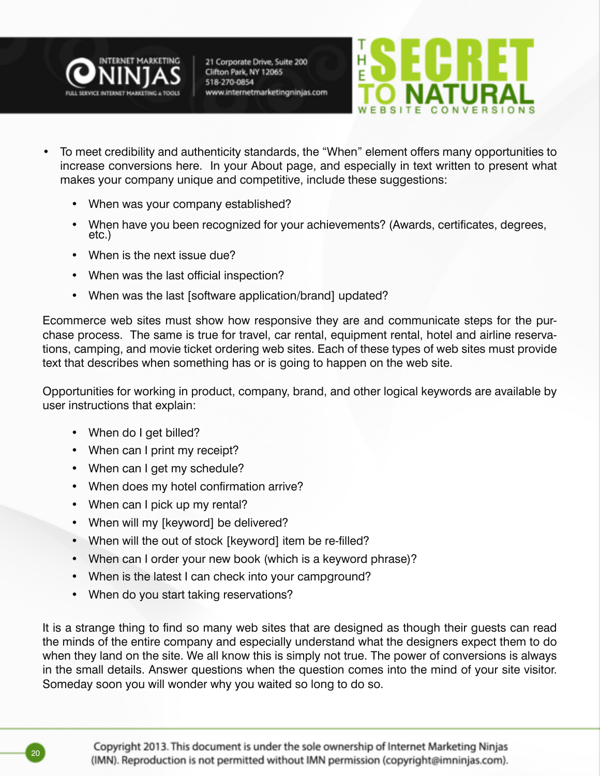



- To meet credibility and authenticity standards, the "When" element offers many opportunities to increase conversions here. In your About page, and especially in text written to present what makes your company unique and competitive, include these suggestions:
	- When was your company established?
	- When have you been recognized for your achievements? (Awards, certificates, degrees, etc.)
	- When is the next issue due?
	- When was the last official inspection?
	- When was the last [software application/brand] updated?

Ecommerce web sites must show how responsive they are and communicate steps for the purchase process. The same is true for travel, car rental, equipment rental, hotel and airline reservations, camping, and movie ticket ordering web sites. Each of these types of web sites must provide text that describes when something has or is going to happen on the web site.

Opportunities for working in product, company, brand, and other logical keywords are available by user instructions that explain:

- When do I get billed?
- When can I print my receipt?
- When can I get my schedule?
- When does my hotel confirmation arrive?
- When can I pick up my rental?
- When will my [keyword] be delivered?
- When will the out of stock [keyword] item be re-filled?
- When can I order your new book (which is a keyword phrase)?
- When is the latest I can check into your campground?
- When do you start taking reservations?

It is a strange thing to find so many web sites that are designed as though their guests can read the minds of the entire company and especially understand what the designers expect them to do when they land on the site. We all know this is simply not true. The power of conversions is always in the small details. Answer questions when the question comes into the mind of your site visitor. Someday soon you will wonder why you waited so long to do so.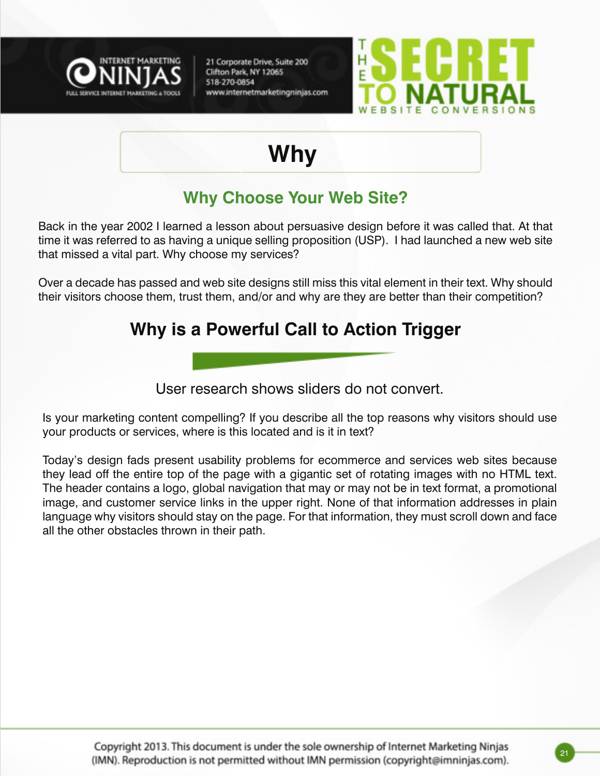



### **Why**

#### **Why Choose Your Web Site?**

Back in the year 2002 I learned a lesson about persuasive design before it was called that. At that time it was referred to as having a unique selling proposition (USP). I had launched a new web site that missed a vital part. Why choose my services?

Over a decade has passed and web site designs still miss this vital element in their text. Why should their visitors choose them, trust them, and/or and why are they are better than their competition?

#### **Why is a Powerful Call to Action Trigger**

User research shows sliders do not convert.

Is your marketing content compelling? If you describe all the top reasons why visitors should use your products or services, where is this located and is it in text?

Today's design fads present usability problems for ecommerce and services web sites because they lead off the entire top of the page with a gigantic set of rotating images with no HTML text. The header contains a logo, global navigation that may or may not be in text format, a promotional image, and customer service links in the upper right. None of that information addresses in plain language why visitors should stay on the page. For that information, they must scroll down and face all the other obstacles thrown in their path.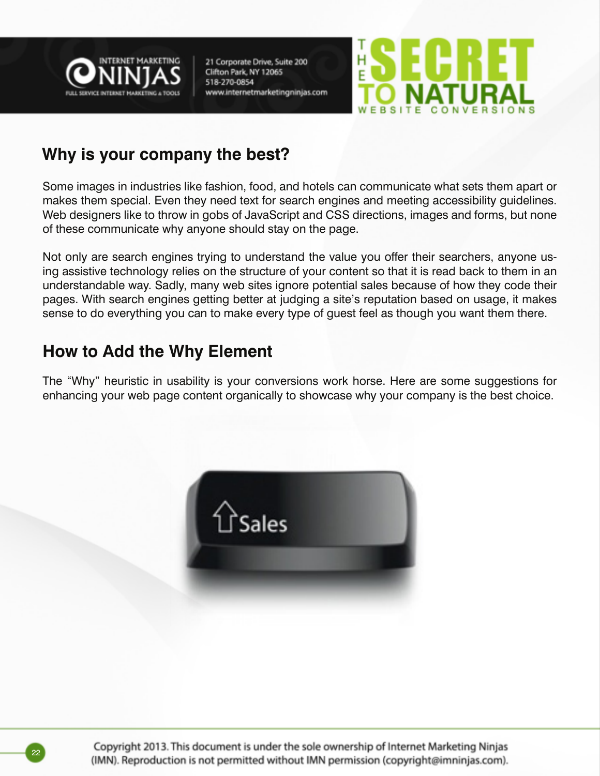



#### **Why is your company the best?**

Some images in industries like fashion, food, and hotels can communicate what sets them apart or makes them special. Even they need text for search engines and meeting accessibility guidelines. Web designers like to throw in gobs of JavaScript and CSS directions, images and forms, but none of these communicate why anyone should stay on the page.

Not only are search engines trying to understand the value you offer their searchers, anyone using assistive technology relies on the structure of your content so that it is read back to them in an understandable way. Sadly, many web sites ignore potential sales because of how they code their pages. With search engines getting better at judging a site's reputation based on usage, it makes sense to do everything you can to make every type of guest feel as though you want them there.

#### **How to Add the Why Element**

The "Why" heuristic in usability is your conversions work horse. Here are some suggestions for enhancing your web page content organically to showcase why your company is the best choice.

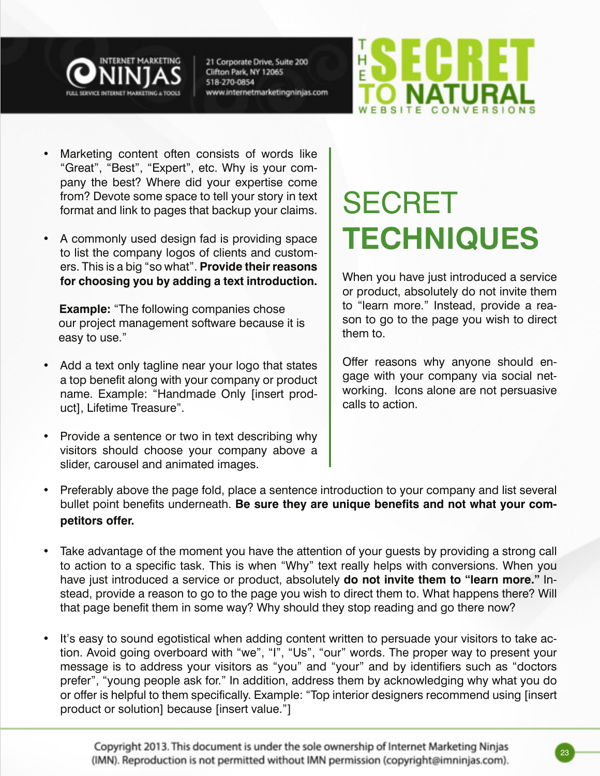



- Marketing content often consists of words like "Great", "Best", "Expert", etc. Why is your company the best? Where did your expertise come from? Devote some space to tell your story in text format and link to pages that backup your claims.
- A commonly used design fad is providing space to list the company logos of clients and customers. This is a big "so what". **Provide their reasons for choosing you by adding a text introduction.**

 **Example:** "The following companies chose our project management software because it is easy to use."

- Add a text only tagline near your logo that states a top benefit along with your company or product name. Example: "Handmade Only [insert product], Lifetime Treasure".
- Provide a sentence or two in text describing why visitors should choose your company above a slider, carousel and animated images.

# SECRET **TECHNIQUES**

When you have just introduced a service or product, absolutely do not invite them to "learn more." Instead, provide a reason to go to the page you wish to direct them to.

Offer reasons why anyone should engage with your company via social networking. Icons alone are not persuasive calls to action.

- Preferably above the page fold, place a sentence introduction to your company and list several bullet point benefits underneath. **Be sure they are unique benefits and not what your competitors offer.**
- Take advantage of the moment you have the attention of your guests by providing a strong call to action to a specific task. This is when "Why" text really helps with conversions. When you have just introduced a service or product, absolutely **do not invite them to "learn more."** Instead, provide a reason to go to the page you wish to direct them to. What happens there? Will that page benefit them in some way? Why should they stop reading and go there now?
- It's easy to sound egotistical when adding content written to persuade your visitors to take action. Avoid going overboard with "we", "I", "Us", "our" words. The proper way to present your message is to address your visitors as "you" and "your" and by identifiers such as "doctors prefer", "young people ask for." In addition, address them by acknowledging why what you do or offer is helpful to them specifically. Example: "Top interior designers recommend using [insert product or solution] because [insert value."]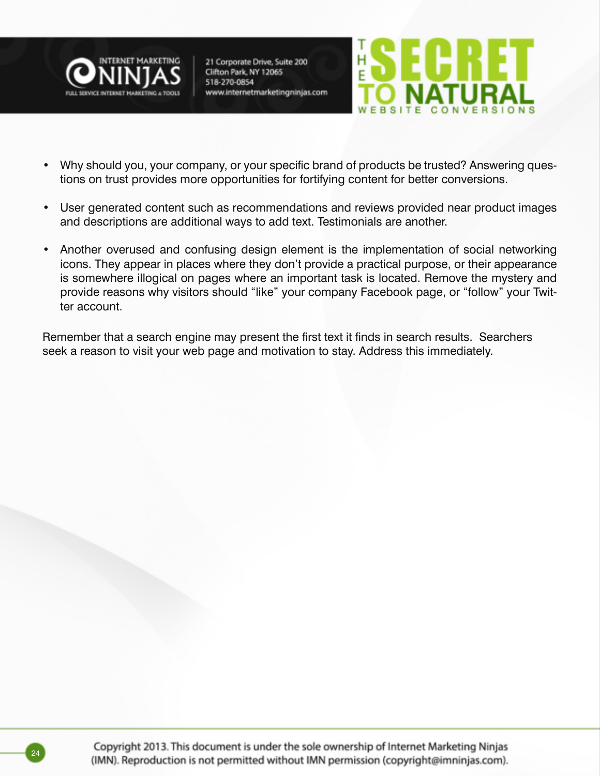



- Why should you, your company, or your specific brand of products be trusted? Answering questions on trust provides more opportunities for fortifying content for better conversions.
- User generated content such as recommendations and reviews provided near product images and descriptions are additional ways to add text. Testimonials are another.
- Another overused and confusing design element is the implementation of social networking icons. They appear in places where they don't provide a practical purpose, or their appearance is somewhere illogical on pages where an important task is located. Remove the mystery and provide reasons why visitors should "like" your company Facebook page, or "follow" your Twitter account.

Remember that a search engine may present the first text it finds in search results. Searchers seek a reason to visit your web page and motivation to stay. Address this immediately.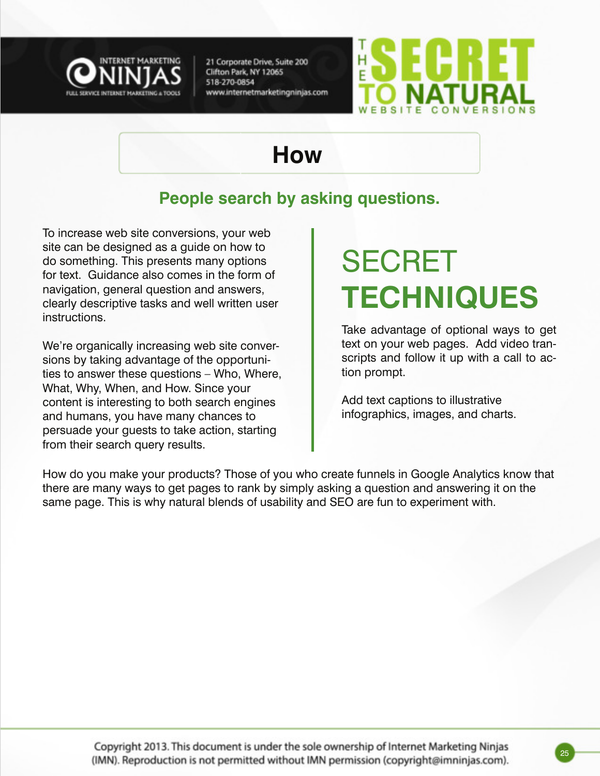



### **How**

#### **People search by asking questions.**

To increase web site conversions, your web site can be designed as a guide on how to do something. This presents many options for text. Guidance also comes in the form of navigation, general question and answers, clearly descriptive tasks and well written user instructions.

We're organically increasing web site conversions by taking advantage of the opportunities to answer these questions – Who, Where, What, Why, When, and How. Since your content is interesting to both search engines and humans, you have many chances to persuade your guests to take action, starting from their search query results.

# SECRET **TECHNIQUES**

Take advantage of optional ways to get text on your web pages. Add video transcripts and follow it up with a call to action prompt.

Add text captions to illustrative infographics, images, and charts.

How do you make your products? Those of you who create funnels in Google Analytics know that there are many ways to get pages to rank by simply asking a question and answering it on the same page. This is why natural blends of usability and SEO are fun to experiment with.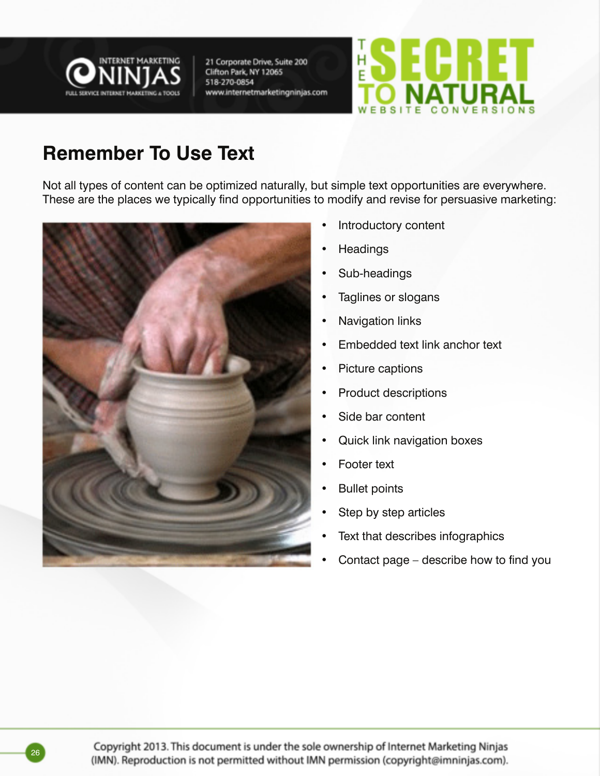



#### **Remember To Use Text**

Not all types of content can be optimized naturally, but simple text opportunities are everywhere. These are the places we typically find opportunities to modify and revise for persuasive marketing:



- Introductory content
- **Headings**
- Sub-headings
- Taglines or slogans
- **Navigation links**
- **Embedded text link anchor text**
- Picture captions
- • Product descriptions
- Side bar content
- Quick link navigation boxes
- **Footer text**
- **Bullet points**
- Step by step articles
- Text that describes infographics
- Contact page  $-$  describe how to find you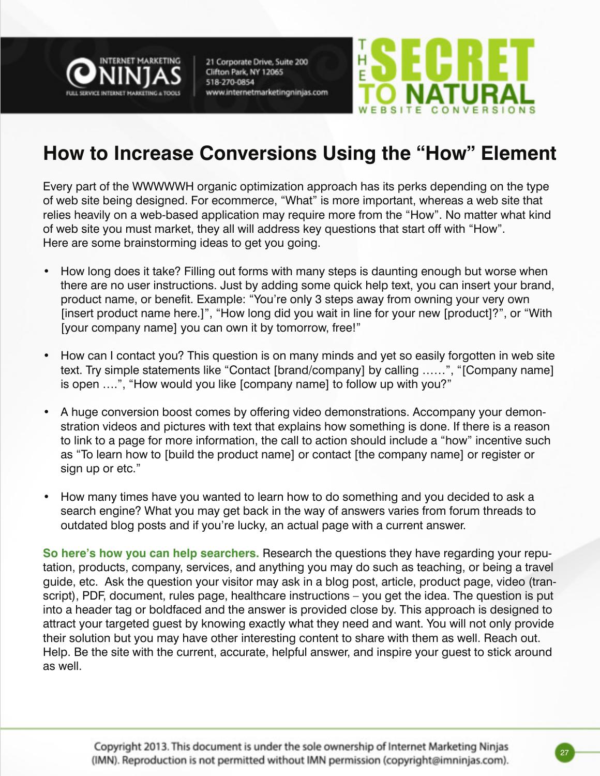



#### **How to Increase Conversions Using the "How" Element**

Every part of the WWWWWH organic optimization approach has its perks depending on the type of web site being designed. For ecommerce, "What" is more important, whereas a web site that relies heavily on a web-based application may require more from the "How". No matter what kind of web site you must market, they all will address key questions that start off with "How". Here are some brainstorming ideas to get you going.

- How long does it take? Filling out forms with many steps is daunting enough but worse when there are no user instructions. Just by adding some quick help text, you can insert your brand, product name, or benefit. Example: "You're only 3 steps away from owning your very own [insert product name here.]", "How long did you wait in line for your new [product]?", or "With [your company name] you can own it by tomorrow, free!"
- How can I contact you? This question is on many minds and yet so easily forgotten in web site text. Try simple statements like "Contact [brand/company] by calling ……", "[Company name] is open ….", "How would you like [company name] to follow up with you?"
- A huge conversion boost comes by offering video demonstrations. Accompany your demonstration videos and pictures with text that explains how something is done. If there is a reason to link to a page for more information, the call to action should include a "how" incentive such as "To learn how to [build the product name] or contact [the company name] or register or sign up or etc."
- How many times have you wanted to learn how to do something and you decided to ask a search engine? What you may get back in the way of answers varies from forum threads to outdated blog posts and if you're lucky, an actual page with a current answer.

**So here's how you can help searchers.** Research the questions they have regarding your reputation, products, company, services, and anything you may do such as teaching, or being a travel guide, etc. Ask the question your visitor may ask in a blog post, article, product page, video (transcript), PDF, document, rules page, healthcare instructions – you get the idea. The question is put into a header tag or boldfaced and the answer is provided close by. This approach is designed to attract your targeted guest by knowing exactly what they need and want. You will not only provide their solution but you may have other interesting content to share with them as well. Reach out. Help. Be the site with the current, accurate, helpful answer, and inspire your guest to stick around as well.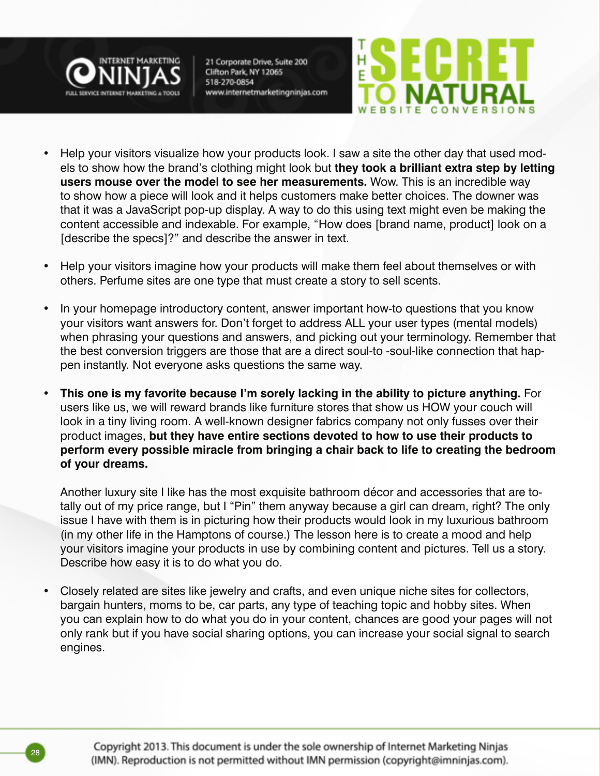



- Help your visitors visualize how your products look. I saw a site the other day that used models to show how the brand's clothing might look but **they took a brilliant extra step by letting users mouse over the model to see her measurements.** Wow. This is an incredible way to show how a piece will look and it helps customers make better choices. The downer was that it was a JavaScript pop-up display. A way to do this using text might even be making the content accessible and indexable. For example, "How does [brand name, product] look on a [describe the specs]?" and describe the answer in text.
- Help your visitors imagine how your products will make them feel about themselves or with others. Perfume sites are one type that must create a story to sell scents.
- In your homepage introductory content, answer important how-to questions that you know your visitors want answers for. Don't forget to address ALL your user types (mental models) when phrasing your questions and answers, and picking out your terminology. Remember that the best conversion triggers are those that are a direct soul-to -soul-like connection that happen instantly. Not everyone asks questions the same way.
- **This one is my favorite because I'm sorely lacking in the ability to picture anything. For** users like us, we will reward brands like furniture stores that show us HOW your couch will look in a tiny living room. A well-known designer fabrics company not only fusses over their product images, **but they have entire sections devoted to how to use their products to perform every possible miracle from bringing a chair back to life to creating the bedroom of your dreams.**

Another luxury site I like has the most exquisite bathroom décor and accessories that are totally out of my price range, but I "Pin" them anyway because a girl can dream, right? The only issue I have with them is in picturing how their products would look in my luxurious bathroom (in my other life in the Hamptons of course.) The lesson here is to create a mood and help your visitors imagine your products in use by combining content and pictures. Tell us a story. Describe how easy it is to do what you do.

Closely related are sites like jewelry and crafts, and even unique niche sites for collectors, bargain hunters, moms to be, car parts, any type of teaching topic and hobby sites. When you can explain how to do what you do in your content, chances are good your pages will not only rank but if you have social sharing options, you can increase your social signal to search engines.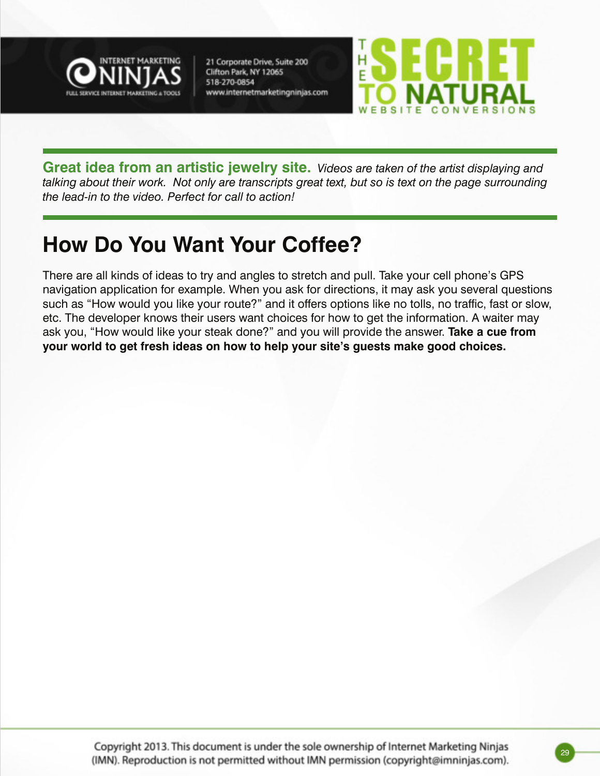



**Great idea from an artistic jewelry site.** *Videos are taken of the artist displaying and talking about their work. Not only are transcripts great text, but so is text on the page surrounding the lead-in to the video. Perfect for call to action!*

### **How Do You Want Your Coffee?**

There are all kinds of ideas to try and angles to stretch and pull. Take your cell phone's GPS navigation application for example. When you ask for directions, it may ask you several questions such as "How would you like your route?" and it offers options like no tolls, no traffic, fast or slow, etc. The developer knows their users want choices for how to get the information. A waiter may ask you, "How would like your steak done?" and you will provide the answer. **Take a cue from your world to get fresh ideas on how to help your site's guests make good choices.**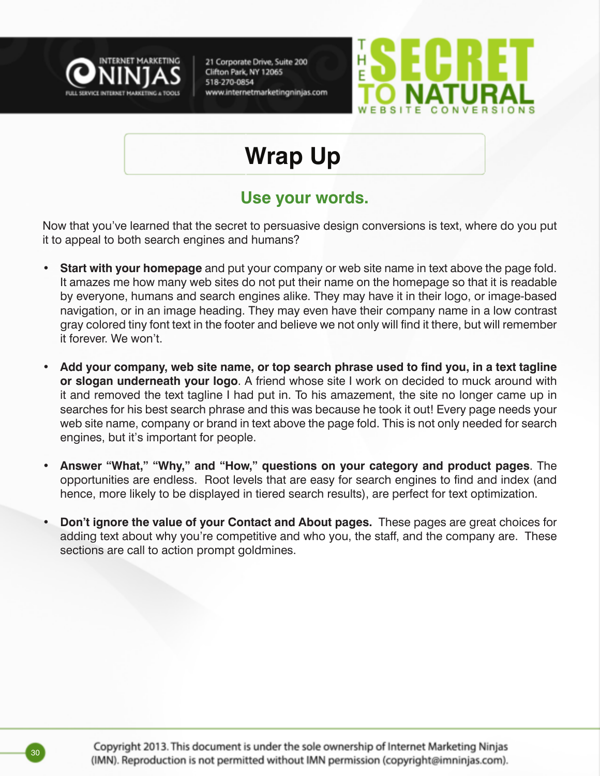



### **Wrap Up**

#### **Use your words.**

Now that you've learned that the secret to persuasive design conversions is text, where do you put it to appeal to both search engines and humans?

- **Start with your homepage** and put your company or web site name in text above the page fold. It amazes me how many web sites do not put their name on the homepage so that it is readable by everyone, humans and search engines alike. They may have it in their logo, or image-based navigation, or in an image heading. They may even have their company name in a low contrast gray colored tiny font text in the footer and believe we not only will find it there, but will remember it forever. We won't.
- **• Add your company, web site name, or top search phrase used to find you, in a text tagline or slogan underneath your logo**. A friend whose site I work on decided to muck around with it and removed the text tagline I had put in. To his amazement, the site no longer came up in searches for his best search phrase and this was because he took it out! Every page needs your web site name, company or brand in text above the page fold. This is not only needed for search engines, but it's important for people.
- **• Answer "What," "Why," and "How," questions on your category and product pages**. The opportunities are endless. Root levels that are easy for search engines to find and index (and hence, more likely to be displayed in tiered search results), are perfect for text optimization.
- **• Don't ignore the value of your Contact and About pages.** These pages are great choices for adding text about why you're competitive and who you, the staff, and the company are. These sections are call to action prompt goldmines.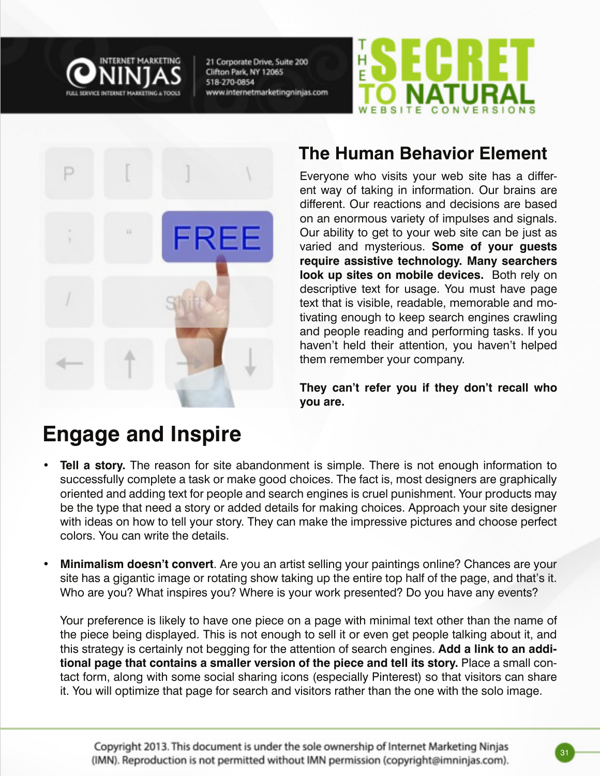





#### **The Human Behavior Element**

Everyone who visits your web site has a different way of taking in information. Our brains are different. Our reactions and decisions are based on an enormous variety of impulses and signals. Our ability to get to your web site can be just as varied and mysterious. **Some of your guests require assistive technology. Many searchers look up sites on mobile devices.** Both rely on descriptive text for usage. You must have page text that is visible, readable, memorable and motivating enough to keep search engines crawling and people reading and performing tasks. If you haven't held their attention, you haven't helped them remember your company.

**They can't refer you if they don't recall who you are.** 

### **Engage and Inspire**

- **Tell a story.** The reason for site abandonment is simple. There is not enough information to successfully complete a task or make good choices. The fact is, most designers are graphically oriented and adding text for people and search engines is cruel punishment. Your products may be the type that need a story or added details for making choices. Approach your site designer with ideas on how to tell your story. They can make the impressive pictures and choose perfect colors. You can write the details.
- **• Minimalism doesn't convert**. Are you an artist selling your paintings online? Chances are your site has a gigantic image or rotating show taking up the entire top half of the page, and that's it. Who are you? What inspires you? Where is your work presented? Do you have any events?

Your preference is likely to have one piece on a page with minimal text other than the name of the piece being displayed. This is not enough to sell it or even get people talking about it, and this strategy is certainly not begging for the attention of search engines. **Add a link to an additional page that contains a smaller version of the piece and tell its story.** Place a small contact form, along with some social sharing icons (especially Pinterest) so that visitors can share it. You will optimize that page for search and visitors rather than the one with the solo image.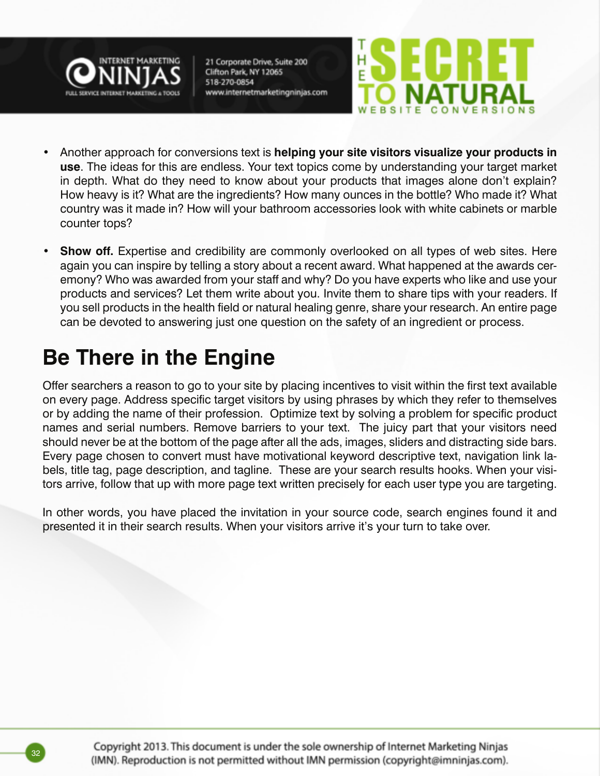



- Another approach for conversions text is **helping your site visitors visualize your products in use**. The ideas for this are endless. Your text topics come by understanding your target market in depth. What do they need to know about your products that images alone don't explain? How heavy is it? What are the ingredients? How many ounces in the bottle? Who made it? What country was it made in? How will your bathroom accessories look with white cabinets or marble counter tops?
- **Show off.** Expertise and credibility are commonly overlooked on all types of web sites. Here again you can inspire by telling a story about a recent award. What happened at the awards ceremony? Who was awarded from your staff and why? Do you have experts who like and use your products and services? Let them write about you. Invite them to share tips with your readers. If you sell products in the health field or natural healing genre, share your research. An entire page can be devoted to answering just one question on the safety of an ingredient or process.

### **Be There in the Engine**

Offer searchers a reason to go to your site by placing incentives to visit within the first text available on every page. Address specific target visitors by using phrases by which they refer to themselves or by adding the name of their profession. Optimize text by solving a problem for specific product names and serial numbers. Remove barriers to your text. The juicy part that your visitors need should never be at the bottom of the page after all the ads, images, sliders and distracting side bars. Every page chosen to convert must have motivational keyword descriptive text, navigation link labels, title tag, page description, and tagline. These are your search results hooks. When your visitors arrive, follow that up with more page text written precisely for each user type you are targeting.

In other words, you have placed the invitation in your source code, search engines found it and presented it in their search results. When your visitors arrive it's your turn to take over.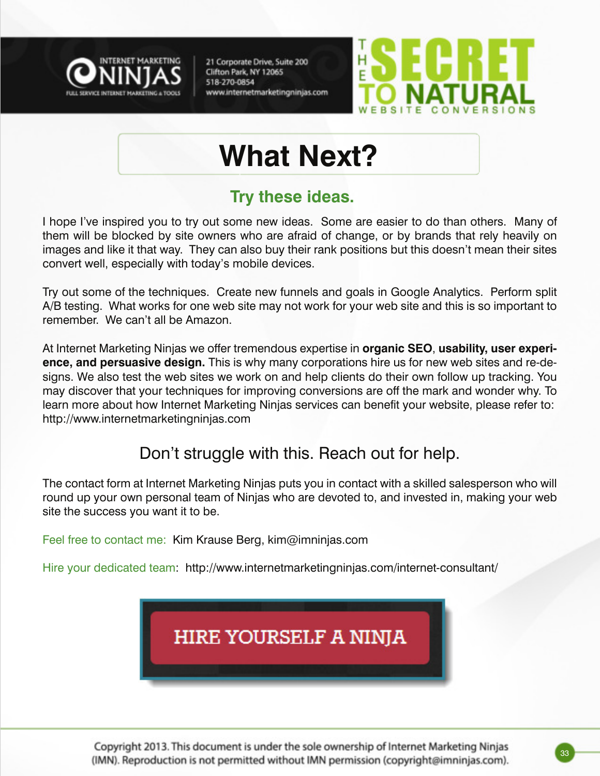



## **What Next?**

#### **Try these ideas.**

I hope I've inspired you to try out some new ideas. Some are easier to do than others. Many of them will be blocked by site owners who are afraid of change, or by brands that rely heavily on images and like it that way. They can also buy their rank positions but this doesn't mean their sites convert well, especially with today's mobile devices.

Try out some of the techniques. Create new funnels and goals in Google Analytics. Perform split A/B testing. What works for one web site may not work for your web site and this is so important to remember. We can't all be Amazon.

At Internet Marketing Ninjas we offer tremendous expertise in **organic SEO**, **usability, user experience, and persuasive design.** This is why many corporations hire us for new web sites and re-designs. We also test the web sites we work on and help clients do their own follow up tracking. You may discover that your techniques for improving conversions are off the mark and wonder why. To learn more about how Internet Marketing Ninjas services can benefit your website, please refer to: http://www.internetmarketingninjas.com

#### Don't struggle with this. Reach out for help.

The contact form at Internet Marketing Ninjas puts you in contact with a skilled salesperson who will round up your own personal team of Ninjas who are devoted to, and invested in, making your web site the success you want it to be.

Feel free to contact me: Kim Krause Berg, kim@imninjas.com

Hire your dedicated team: http://www.internetmarketingninjas.com/internet-consultant/